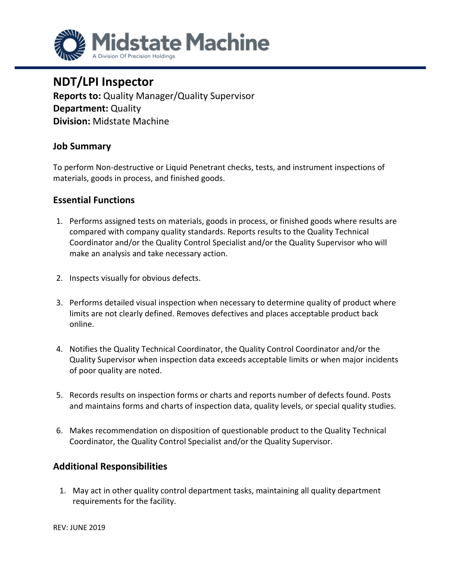

# **NDT/LPI Inspector**

**Reports to:** Quality Manager/Quality Supervisor **Department:** Quality **Division:** Midstate Machine

### **Job Summary**

To perform Non-destructive or Liquid Penetrant checks, tests, and instrument inspections of materials, goods in process, and finished goods.

### **Essential Functions**

- 1. Performs assigned tests on materials, goods in process, or finished goods where results are compared with company quality standards. Reports results to the Quality Technical Coordinator and/or the Quality Control Specialist and/or the Quality Supervisor who will make an analysis and take necessary action.
- 2. Inspects visually for obvious defects.
- 3. Performs detailed visual inspection when necessary to determine quality of product where limits are not clearly defined. Removes defectives and places acceptable product back online.
- 4. Notifies the Quality Technical Coordinator, the Quality Control Coordinator and/or the Quality Supervisor when inspection data exceeds acceptable limits or when major incidents of poor quality are noted.
- 5. Records results on inspection forms or charts and reports number of defects found. Posts and maintains forms and charts of inspection data, quality levels, or special quality studies.
- 6. Makes recommendation on disposition of questionable product to the Quality Technical Coordinator, the Quality Control Specialist and/or the Quality Supervisor.

## **Additional Responsibilities**

1. May act in other quality control department tasks, maintaining all quality department requirements for the facility.

REV: JUNE 2019